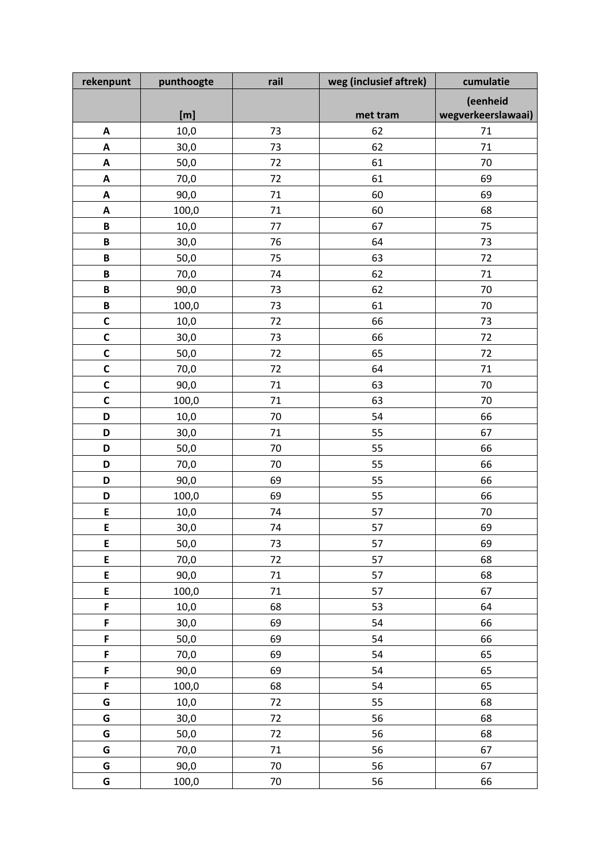| rekenpunt                 | punthoogte | rail   | weg (inclusief aftrek) | cumulatie          |
|---------------------------|------------|--------|------------------------|--------------------|
|                           |            |        |                        | (eenheid           |
|                           | [m]        |        | met tram               | wegverkeerslawaai) |
| A                         | 10,0       | 73     | 62                     | 71                 |
| $\pmb{\mathsf{A}}$        | 30,0       | 73     | 62                     | 71                 |
| $\pmb{\mathsf{A}}$        | 50,0       | 72     | 61                     | 70                 |
| $\pmb{\mathsf{A}}$        | 70,0       | 72     | 61                     | 69                 |
| $\boldsymbol{\mathsf{A}}$ | 90,0       | 71     | 60                     | 69                 |
| A                         | 100,0      | 71     | 60                     | 68                 |
| B                         | 10,0       | 77     | 67                     | 75                 |
| $\pmb B$                  | 30,0       | 76     | 64                     | 73                 |
| $\pmb B$                  | 50,0       | 75     | 63                     | 72                 |
| B                         | 70,0       | 74     | 62                     | 71                 |
| B                         | 90,0       | 73     | 62                     | 70                 |
| $\, {\bf B}$              | 100,0      | 73     | 61                     | 70                 |
| $\mathsf{C}$              | 10,0       | 72     | 66                     | 73                 |
| $\mathbf c$               | 30,0       | 73     | 66                     | 72                 |
| C                         | 50,0       | 72     | 65                     | 72                 |
| $\mathbf C$               | 70,0       | 72     | 64                     | 71                 |
| $\mathbf c$               | 90,0       | 71     | 63                     | 70                 |
| $\mathbf c$               | 100,0      | 71     | 63                     | 70                 |
| D                         | 10,0       | 70     | 54                     | 66                 |
| D                         | 30,0       | 71     | 55                     | 67                 |
| D                         | 50,0       | 70     | 55                     | 66                 |
| D                         | 70,0       | 70     | 55                     | 66                 |
| D                         | 90,0       | 69     | 55                     | 66                 |
| D                         | 100,0      | 69     | 55                     | 66                 |
| E                         | 10,0       | 74     | 57                     | 70                 |
| E                         | 30,0       | 74     | 57                     | 69                 |
| E                         | 50,0       | 73     | 57                     | 69                 |
| E                         | 70,0       | 72     | 57                     | 68                 |
| E                         | 90,0       | 71     | 57                     | 68                 |
| E                         | 100,0      | $71\,$ | 57                     | 67                 |
| F                         | 10,0       | 68     | 53                     | 64                 |
| F                         | 30,0       | 69     | 54                     | 66                 |
| F                         | 50,0       | 69     | 54                     | 66                 |
| F                         | 70,0       | 69     | 54                     | 65                 |
| F                         | 90,0       | 69     | 54                     | 65                 |
| F                         | 100,0      | 68     | 54                     | 65                 |
| G                         | 10,0       | 72     | 55                     | 68                 |
| G                         | 30,0       | 72     | 56                     | 68                 |
| G                         | 50,0       | 72     | 56                     | 68                 |
| G                         | 70,0       | 71     | 56                     | 67                 |
| G                         | 90,0       | 70     | 56                     | 67                 |
| G                         | 100,0      | 70     | 56                     | 66                 |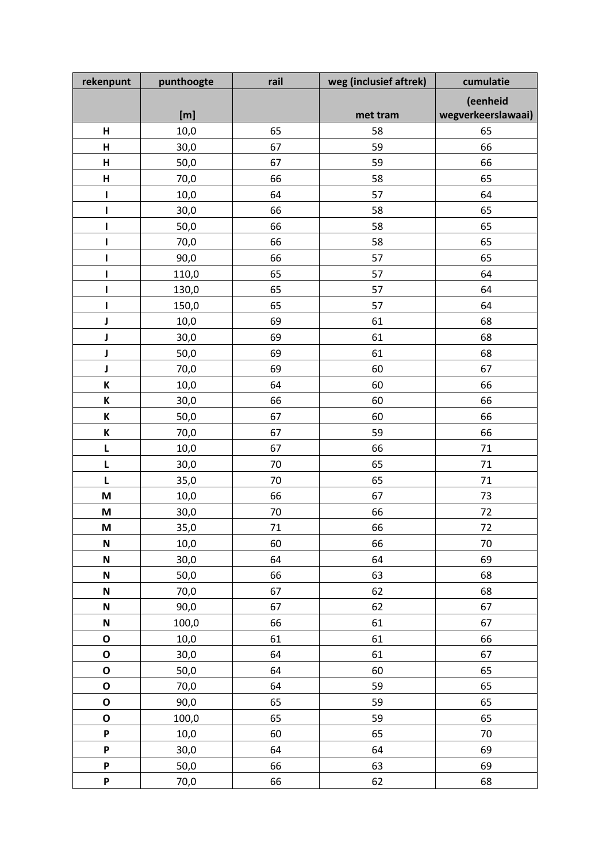| rekenpunt                 | punthoogte | rail | weg (inclusief aftrek) | cumulatie          |
|---------------------------|------------|------|------------------------|--------------------|
|                           |            |      |                        | (eenheid           |
|                           | [m]        |      | met tram               | wegverkeerslawaai) |
| н                         | 10,0       | 65   | 58                     | 65                 |
| $\mathsf{H}$              | 30,0       | 67   | 59                     | 66                 |
| $\overline{H}$            | 50,0       | 67   | 59                     | 66                 |
| $\mathsf{H}$              | 70,0       | 66   | 58                     | 65                 |
| ı                         | 10,0       | 64   | 57                     | 64                 |
| ı                         | 30,0       | 66   | 58                     | 65                 |
| I                         | 50,0       | 66   | 58                     | 65                 |
| ı                         | 70,0       | 66   | 58                     | 65                 |
| I                         | 90,0       | 66   | 57                     | 65                 |
| ı                         | 110,0      | 65   | 57                     | 64                 |
| ı                         | 130,0      | 65   | 57                     | 64                 |
| ı                         | 150,0      | 65   | 57                     | 64                 |
| J                         | 10,0       | 69   | 61                     | 68                 |
| J                         | 30,0       | 69   | 61                     | 68                 |
| J                         | 50,0       | 69   | 61                     | 68                 |
| J                         | 70,0       | 69   | 60                     | 67                 |
| K                         | 10,0       | 64   | 60                     | 66                 |
| K                         | 30,0       | 66   | 60                     | 66                 |
| К                         | 50,0       | 67   | 60                     | 66                 |
| К                         | 70,0       | 67   | 59                     | 66                 |
| L                         | 10,0       | 67   | 66                     | 71                 |
| L                         | 30,0       | 70   | 65                     | 71                 |
| L                         | 35,0       | 70   | 65                     | 71                 |
| M                         | 10,0       | 66   | 67                     | 73                 |
| M                         | 30,0       | 70   | 66                     | 72                 |
| M                         | 35,0       | 71   | 66                     | 72                 |
| $\boldsymbol{\mathsf{N}}$ | 10,0       | 60   | 66                     | 70                 |
| $\boldsymbol{\mathsf{N}}$ | 30,0       | 64   | 64                     | 69                 |
| $\mathsf{N}$              | 50,0       | 66   | 63                     | 68                 |
| $\boldsymbol{\mathsf{N}}$ | 70,0       | 67   | 62                     | 68                 |
| $\boldsymbol{\mathsf{N}}$ | 90,0       | 67   | 62                     | 67                 |
| $\boldsymbol{\mathsf{N}}$ | 100,0      | 66   | 61                     | 67                 |
| O                         | 10,0       | 61   | 61                     | 66                 |
| $\mathbf 0$               | 30,0       | 64   | 61                     | 67                 |
| $\mathbf 0$               | 50,0       | 64   | 60                     | 65                 |
| $\mathbf O$               | 70,0       | 64   | 59                     | 65                 |
| $\mathbf 0$               | 90,0       | 65   | 59                     | 65                 |
| O                         | 100,0      | 65   | 59                     | 65                 |
| P                         | 10,0       | 60   | 65                     | 70                 |
| P                         | 30,0       | 64   | 64                     | 69                 |
| P                         | 50,0       | 66   | 63                     | 69                 |
| P                         | 70,0       | 66   | 62                     | 68                 |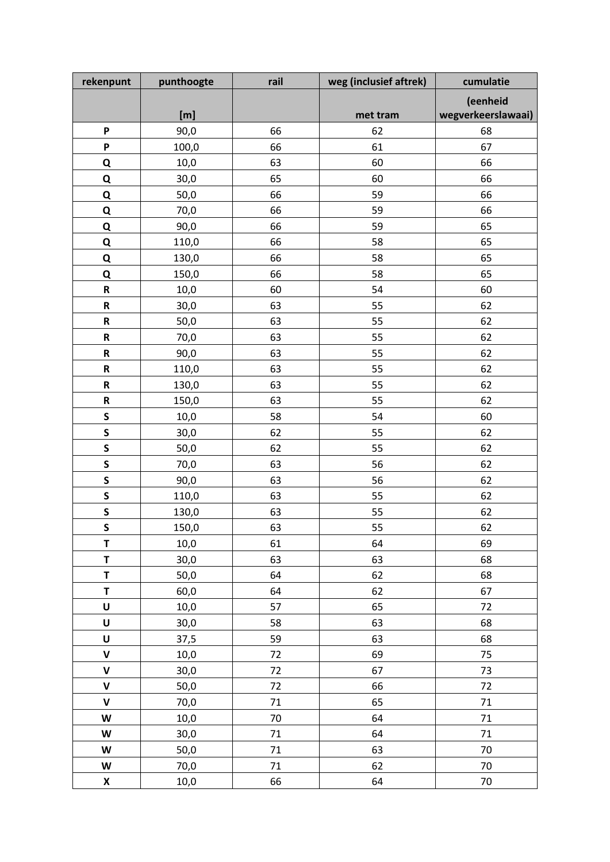| rekenpunt                                                                                                                                                                                                                                                                                                                                                                                                                                          | punthoogte | rail | weg (inclusief aftrek) | cumulatie          |
|----------------------------------------------------------------------------------------------------------------------------------------------------------------------------------------------------------------------------------------------------------------------------------------------------------------------------------------------------------------------------------------------------------------------------------------------------|------------|------|------------------------|--------------------|
|                                                                                                                                                                                                                                                                                                                                                                                                                                                    |            |      |                        | (eenheid           |
|                                                                                                                                                                                                                                                                                                                                                                                                                                                    | [m]        |      | met tram               | wegverkeerslawaai) |
| P                                                                                                                                                                                                                                                                                                                                                                                                                                                  | 90,0       | 66   | 62                     | 68                 |
| P                                                                                                                                                                                                                                                                                                                                                                                                                                                  | 100,0      | 66   | 61                     | 67                 |
| Q                                                                                                                                                                                                                                                                                                                                                                                                                                                  | 10,0       | 63   | 60                     | 66                 |
| Q                                                                                                                                                                                                                                                                                                                                                                                                                                                  | 30,0       | 65   | 60                     | 66                 |
| Q                                                                                                                                                                                                                                                                                                                                                                                                                                                  | 50,0       | 66   | 59                     | 66                 |
| $\overline{\mathbf{Q}}$                                                                                                                                                                                                                                                                                                                                                                                                                            | 70,0       | 66   | 59                     | 66                 |
| $\overline{\mathbf{Q}}$                                                                                                                                                                                                                                                                                                                                                                                                                            | 90,0       | 66   | 59                     | 65                 |
| Q                                                                                                                                                                                                                                                                                                                                                                                                                                                  | 110,0      | 66   | 58                     | 65                 |
| Q                                                                                                                                                                                                                                                                                                                                                                                                                                                  | 130,0      | 66   | 58                     | 65                 |
| Q                                                                                                                                                                                                                                                                                                                                                                                                                                                  | 150,0      | 66   | 58                     | 65                 |
| ${\sf R}$                                                                                                                                                                                                                                                                                                                                                                                                                                          | 10,0       | 60   | 54                     | 60                 |
| ${\sf R}$                                                                                                                                                                                                                                                                                                                                                                                                                                          | 30,0       | 63   | 55                     | 62                 |
| ${\sf R}$                                                                                                                                                                                                                                                                                                                                                                                                                                          | 50,0       | 63   | 55                     | 62                 |
| ${\sf R}$                                                                                                                                                                                                                                                                                                                                                                                                                                          | 70,0       | 63   | 55                     | 62                 |
| ${\sf R}$                                                                                                                                                                                                                                                                                                                                                                                                                                          | 90,0       | 63   | 55                     | 62                 |
| ${\sf R}$                                                                                                                                                                                                                                                                                                                                                                                                                                          | 110,0      | 63   | 55                     | 62                 |
| $\mathsf R$                                                                                                                                                                                                                                                                                                                                                                                                                                        | 130,0      | 63   | 55                     | 62                 |
| ${\sf R}$                                                                                                                                                                                                                                                                                                                                                                                                                                          | 150,0      | 63   | 55                     | 62                 |
| S                                                                                                                                                                                                                                                                                                                                                                                                                                                  | 10,0       | 58   | 54                     | 60                 |
| S                                                                                                                                                                                                                                                                                                                                                                                                                                                  | 30,0       | 62   | 55                     | 62                 |
| S                                                                                                                                                                                                                                                                                                                                                                                                                                                  | 50,0       | 62   | 55                     | 62                 |
| S                                                                                                                                                                                                                                                                                                                                                                                                                                                  | 70,0       | 63   | 56                     | 62                 |
| $\mathsf{s}$                                                                                                                                                                                                                                                                                                                                                                                                                                       | 90,0       | 63   | 56                     | 62                 |
| S                                                                                                                                                                                                                                                                                                                                                                                                                                                  | 110,0      | 63   | 55                     | 62                 |
| S                                                                                                                                                                                                                                                                                                                                                                                                                                                  | 130,0      | 63   | 55                     | 62                 |
| $\mathsf{s}$                                                                                                                                                                                                                                                                                                                                                                                                                                       | 150,0      | 63   | 55                     | 62                 |
| T                                                                                                                                                                                                                                                                                                                                                                                                                                                  | 10,0       | 61   | 64                     | 69                 |
| $\mathsf T$                                                                                                                                                                                                                                                                                                                                                                                                                                        | 30,0       | 63   | 63                     | 68                 |
| T                                                                                                                                                                                                                                                                                                                                                                                                                                                  | 50,0       | 64   | 62                     | 68                 |
| T                                                                                                                                                                                                                                                                                                                                                                                                                                                  | 60,0       | 64   | 62                     | 67                 |
| $\pmb{\pmb{\pmb{\cup}}}$                                                                                                                                                                                                                                                                                                                                                                                                                           | 10,0       | 57   | 65                     | 72                 |
| U                                                                                                                                                                                                                                                                                                                                                                                                                                                  | 30,0       | 58   | 63                     | 68                 |
| $\sf U$                                                                                                                                                                                                                                                                                                                                                                                                                                            | 37,5       | 59   | 63                     | 68                 |
| $\mathsf{V}$                                                                                                                                                                                                                                                                                                                                                                                                                                       | 10,0       | 72   | 69                     | 75                 |
| $\mathsf{V}$                                                                                                                                                                                                                                                                                                                                                                                                                                       | 30,0       | 72   | 67                     | 73                 |
| $\pmb{\mathsf{V}}$                                                                                                                                                                                                                                                                                                                                                                                                                                 | 50,0       | 72   | 66                     | 72                 |
| $\mathbf v$                                                                                                                                                                                                                                                                                                                                                                                                                                        | 70,0       | 71   | 65                     | 71                 |
| $\mathsf{W}% _{T}=\mathsf{W}_{T}\!\left( a,b\right) ,\ \mathsf{W}_{T}=\mathsf{W}_{T} \!\left( a,b\right) ,\ \mathsf{W}_{T}=\mathsf{W}_{T} \!\left( a,b\right) ,\ \mathsf{W}_{T}=\mathsf{W}_{T} \!\left( a,b\right) ,\ \mathsf{W}_{T}=\mathsf{W}_{T} \!\left( a,b\right) ,\ \mathsf{W}_{T}=\mathsf{W}_{T} \!\left( a,b\right) ,\ \mathsf{W}_{T}=\mathsf{W}_{T} \!\left( a,b\right) ,\ \mathsf{W}_{T}=\mathsf{W}_{T} \!\left( a,b\right) ,\ \mathsf$ | 10,0       | 70   | 64                     | $71\,$             |
| W                                                                                                                                                                                                                                                                                                                                                                                                                                                  | 30,0       | 71   | 64                     | 71                 |
| W                                                                                                                                                                                                                                                                                                                                                                                                                                                  | 50,0       | 71   | 63                     | 70                 |
| W                                                                                                                                                                                                                                                                                                                                                                                                                                                  | 70,0       | 71   | 62                     | 70                 |
| $\pmb{\mathsf{X}}$                                                                                                                                                                                                                                                                                                                                                                                                                                 | 10,0       | 66   | 64                     | 70                 |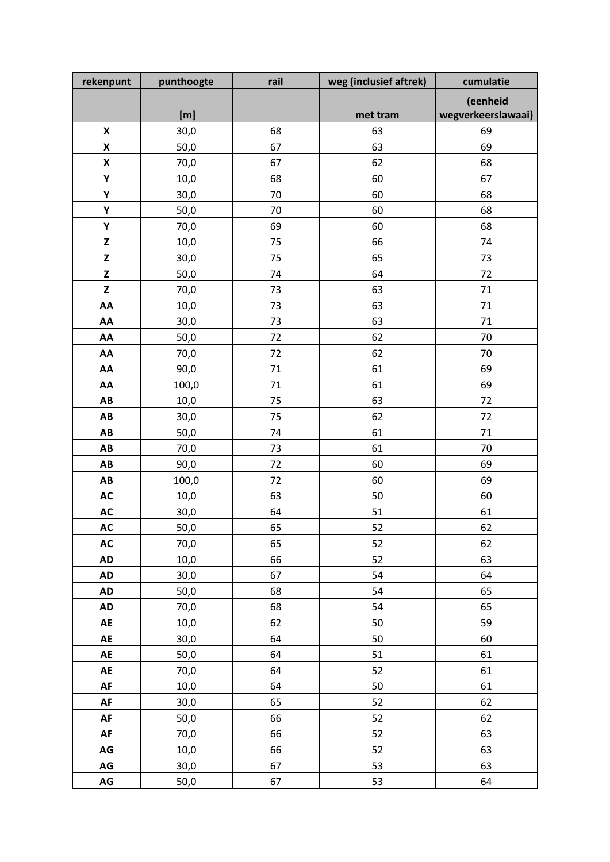| rekenpunt                                               | punthoogte | rail | weg (inclusief aftrek) | cumulatie          |
|---------------------------------------------------------|------------|------|------------------------|--------------------|
|                                                         |            |      |                        | (eenheid           |
|                                                         | [m]        |      | met tram               | wegverkeerslawaai) |
| X                                                       | 30,0       | 68   | 63                     | 69                 |
| $\pmb{\mathsf{X}}$                                      | 50,0       | 67   | 63                     | 69                 |
| $\pmb{\mathsf{X}}$                                      | 70,0       | 67   | 62                     | 68                 |
| Υ                                                       | 10,0       | 68   | 60                     | 67                 |
| Υ                                                       | 30,0       | 70   | 60                     | 68                 |
| Υ                                                       | 50,0       | 70   | 60                     | 68                 |
| Υ                                                       | 70,0       | 69   | 60                     | 68                 |
| $\mathbf{Z}% _{M_{1},M_{2}}^{\alpha,\beta}(\mathbf{X})$ | 10,0       | 75   | 66                     | 74                 |
| $\mathsf Z$                                             | 30,0       | 75   | 65                     | 73                 |
| Z                                                       | 50,0       | 74   | 64                     | 72                 |
| Z                                                       | 70,0       | 73   | 63                     | 71                 |
| AA                                                      | 10,0       | 73   | 63                     | 71                 |
| AA                                                      | 30,0       | 73   | 63                     | 71                 |
| AA                                                      | 50,0       | 72   | 62                     | 70                 |
| AA                                                      | 70,0       | 72   | 62                     | 70                 |
| AA                                                      | 90,0       | 71   | 61                     | 69                 |
| AA                                                      | 100,0      | 71   | 61                     | 69                 |
| AB                                                      | 10,0       | 75   | 63                     | 72                 |
| AB                                                      | 30,0       | 75   | 62                     | 72                 |
| AB                                                      | 50,0       | 74   | 61                     | 71                 |
| AB                                                      | 70,0       | 73   | 61                     | 70                 |
| AB                                                      | 90,0       | 72   | 60                     | 69                 |
| AB                                                      | 100,0      | 72   | 60                     | 69                 |
| <b>AC</b>                                               | 10,0       | 63   | 50                     | 60                 |
| <b>AC</b>                                               | 30,0       | 64   | 51                     | 61                 |
| <b>AC</b>                                               | 50,0       | 65   | 52                     | 62                 |
| AC                                                      | 70,0       | 65   | 52                     | 62                 |
| <b>AD</b>                                               | 10,0       | 66   | 52                     | 63                 |
| <b>AD</b>                                               | 30,0       | 67   | 54                     | 64                 |
| <b>AD</b>                                               | 50,0       | 68   | 54                     | 65                 |
| AD                                                      | 70,0       | 68   | 54                     | 65                 |
| AE                                                      | 10,0       | 62   | 50                     | 59                 |
| AE                                                      | 30,0       | 64   | 50                     | 60                 |
| AE                                                      | 50,0       | 64   | 51                     | 61                 |
| AE                                                      | 70,0       | 64   | 52                     | 61                 |
| AF                                                      | 10,0       | 64   | 50                     | 61                 |
| AF                                                      | 30,0       | 65   | 52                     | 62                 |
| ${\sf AF}$                                              | 50,0       | 66   | 52                     | 62                 |
| ${\sf AF}$                                              | 70,0       | 66   | 52                     | 63                 |
| $AG$                                                    | 10,0       | 66   | 52                     | 63                 |
| $AG$                                                    | 30,0       | 67   | 53                     | 63                 |
| $\mathsf{AG}$                                           | 50,0       | 67   | 53                     | 64                 |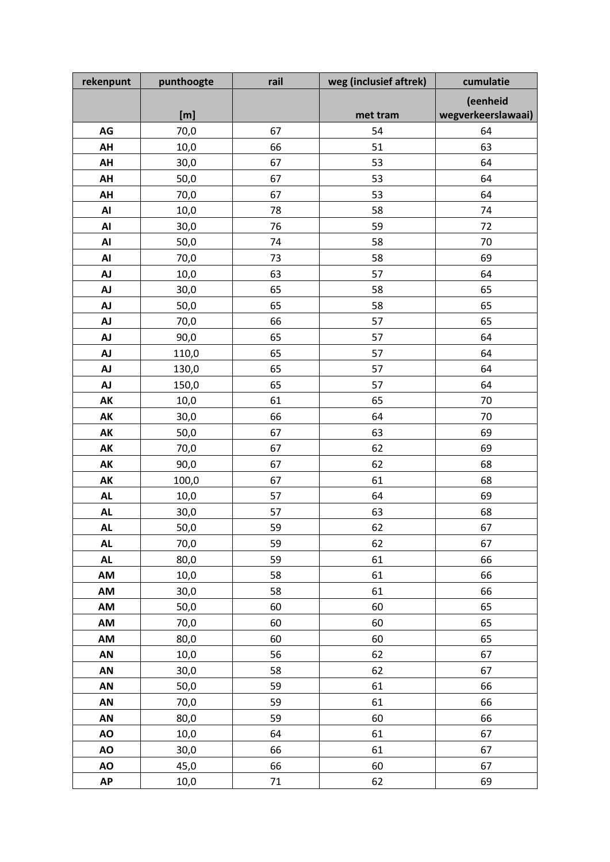| rekenpunt      | punthoogte | rail   | weg (inclusief aftrek) | cumulatie          |
|----------------|------------|--------|------------------------|--------------------|
|                |            |        |                        | (eenheid           |
|                | [m]        |        | met tram               | wegverkeerslawaai) |
| AG             | 70,0       | 67     | 54                     | 64                 |
| AH             | 10,0       | 66     | 51                     | 63                 |
| AH             | 30,0       | 67     | 53                     | 64                 |
| AH             | 50,0       | 67     | 53                     | 64                 |
| AH             | 70,0       | 67     | 53                     | 64                 |
| $\mathsf{A}$ l | 10,0       | 78     | 58                     | 74                 |
| AI             | 30,0       | 76     | 59                     | 72                 |
| $\mathsf{A}$ l | 50,0       | 74     | 58                     | 70                 |
| $\mathsf{A}$ l | 70,0       | 73     | 58                     | 69                 |
| <b>AJ</b>      | 10,0       | 63     | 57                     | 64                 |
| <b>AJ</b>      | 30,0       | 65     | 58                     | 65                 |
| <b>AJ</b>      | 50,0       | 65     | 58                     | 65                 |
| <b>AJ</b>      | 70,0       | 66     | 57                     | 65                 |
| <b>AJ</b>      | 90,0       | 65     | 57                     | 64                 |
| <b>AJ</b>      | 110,0      | 65     | 57                     | 64                 |
| <b>AJ</b>      | 130,0      | 65     | 57                     | 64                 |
| <b>AJ</b>      | 150,0      | 65     | 57                     | 64                 |
| AK             | 10,0       | 61     | 65                     | 70                 |
| AK             | 30,0       | 66     | 64                     | 70                 |
| AK             | 50,0       | 67     | 63                     | 69                 |
| AK             | 70,0       | 67     | 62                     | 69                 |
| AK             | 90,0       | 67     | 62                     | 68                 |
| AK             | 100,0      | 67     | 61                     | 68                 |
| <b>AL</b>      | 10,0       | 57     | 64                     | 69                 |
| <b>AL</b>      | 30,0       | 57     | 63                     | 68                 |
| <b>AL</b>      | 50,0       | 59     | 62                     | 67                 |
| <b>AL</b>      | 70,0       | 59     | 62                     | 67                 |
| ${\sf AL}$     | 80,0       | 59     | 61                     | 66                 |
| AM             | 10,0       | 58     | 61                     | 66                 |
| AM             | 30,0       | 58     | 61                     | 66                 |
| AM             | 50,0       | 60     | 60                     | 65                 |
| AM             | 70,0       | 60     | 60                     | 65                 |
| AM             | 80,0       | 60     | 60                     | 65                 |
| AN             | 10,0       | 56     | 62                     | 67                 |
| AN             | 30,0       | 58     | 62                     | 67                 |
| AN             | 50,0       | 59     | 61                     | 66                 |
| AN             | 70,0       | 59     | 61                     | 66                 |
| AN             | 80,0       | 59     | 60                     | 66                 |
| AO             | 10,0       | 64     | 61                     | 67                 |
| <b>AO</b>      | 30,0       | 66     | 61                     | 67                 |
| AO             | 45,0       | 66     | 60                     | 67                 |
| <b>AP</b>      | 10,0       | $71\,$ | 62                     | 69                 |